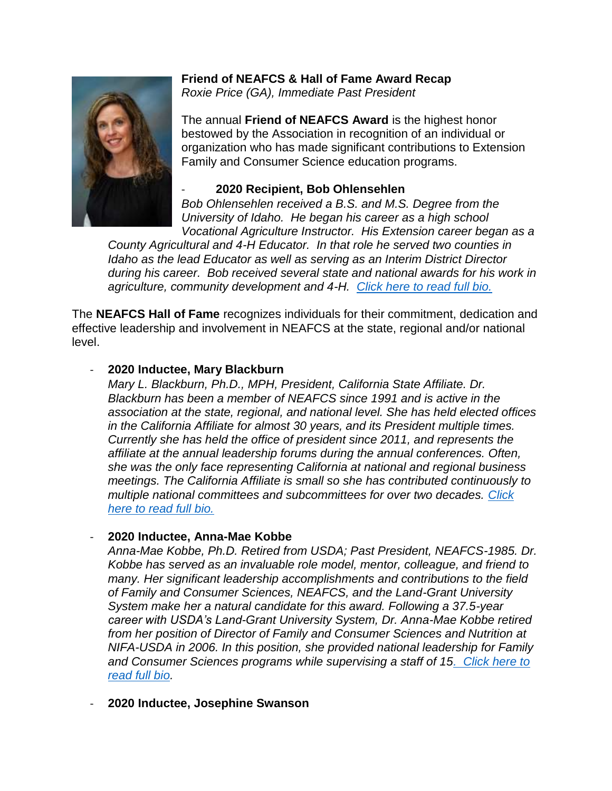

# **Friend of NEAFCS & Hall of Fame Award Recap**

*Roxie Price (GA), Immediate Past President*

The annual **Friend of NEAFCS Award** is the highest honor bestowed by the Association in recognition of an individual or organization who has made significant contributions to Extension Family and Consumer Science education programs.

## - **2020 Recipient, Bob Ohlensehlen**

*Bob Ohlensehlen received a B.S. and M.S. Degree from the University of Idaho. He began his career as a high school Vocational Agriculture Instructor. His Extension career began as a* 

*County Agricultural and 4-H Educator. In that role he served two counties in Idaho as the lead Educator as well as serving as an Interim District Director during his career. Bob received several state and national awards for his work in agriculture, community development and 4-H. [Click here to read full bio.](https://www.neafcs.org/friend-of-neafcs-award)*

The **NEAFCS Hall of Fame** recognizes individuals for their commitment, dedication and effective leadership and involvement in NEAFCS at the state, regional and/or national level.

## - **2020 Inductee, Mary Blackburn**

*Mary L. Blackburn, Ph.D., MPH, President, California State Affiliate. Dr. Blackburn has been a member of NEAFCS since 1991 and is active in the association at the state, regional, and national level. She has held elected offices in the California Affiliate for almost 30 years, and its President multiple times. Currently she has held the office of president since 2011, and represents the affiliate at the annual leadership forums during the annual conferences. Often, she was the only face representing California at national and regional business meetings. The California Affiliate is small so she has contributed continuously to multiple national committees and subcommittees for over two decades. [Click](https://www.neafcs.org/neafcs-recognition)  [here to read full bio.](https://www.neafcs.org/neafcs-recognition)*

## - **2020 Inductee, Anna-Mae Kobbe**

*Anna-Mae Kobbe, Ph.D. Retired from USDA; Past President, NEAFCS-1985. Dr. Kobbe has served as an invaluable role model, mentor, colleague, and friend to many. Her significant leadership accomplishments and contributions to the field of Family and Consumer Sciences, NEAFCS, and the Land-Grant University System make her a natural candidate for this award. Following a 37.5-year career with USDA's Land-Grant University System, Dr. Anna-Mae Kobbe retired from her position of Director of Family and Consumer Sciences and Nutrition at NIFA-USDA in 2006. In this position, she provided national leadership for Family and Consumer Sciences programs while supervising a staff of 1[5. Click here to](https://www.neafcs.org/neafcs-recognition)  [read full bio.](https://www.neafcs.org/neafcs-recognition)*

### - **2020 Inductee, Josephine Swanson**